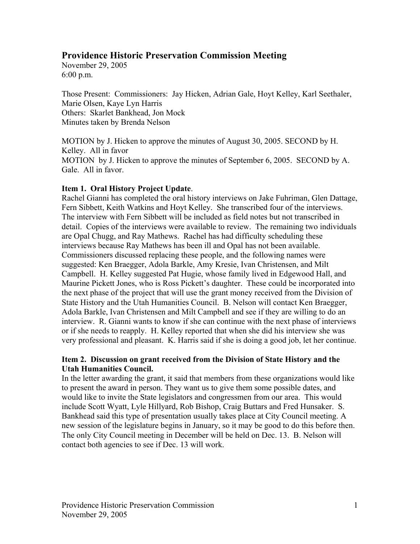# **Providence Historic Preservation Commission Meeting**

November 29, 2005 6:00 p.m.

Those Present: Commissioners: Jay Hicken, Adrian Gale, Hoyt Kelley, Karl Seethaler, Marie Olsen, Kaye Lyn Harris Others: Skarlet Bankhead, Jon Mock Minutes taken by Brenda Nelson

MOTION by J. Hicken to approve the minutes of August 30, 2005. SECOND by H. Kelley. All in favor MOTION by J. Hicken to approve the minutes of September 6, 2005. SECOND by A. Gale. All in favor.

# **Item 1. Oral History Project Update**.

Rachel Gianni has completed the oral history interviews on Jake Fuhriman, Glen Dattage, Fern Sibbett, Keith Watkins and Hoyt Kelley. She transcribed four of the interviews. The interview with Fern Sibbett will be included as field notes but not transcribed in detail. Copies of the interviews were available to review. The remaining two individuals are Opal Chugg, and Ray Mathews. Rachel has had difficulty scheduling these interviews because Ray Mathews has been ill and Opal has not been available. Commissioners discussed replacing these people, and the following names were suggested: Ken Braegger, Adola Barkle, Amy Kresie, Ivan Christensen, and Milt Campbell. H. Kelley suggested Pat Hugie, whose family lived in Edgewood Hall, and Maurine Pickett Jones, who is Ross Pickett's daughter. These could be incorporated into the next phase of the project that will use the grant money received from the Division of State History and the Utah Humanities Council. B. Nelson will contact Ken Braegger, Adola Barkle, Ivan Christensen and Milt Campbell and see if they are willing to do an interview. R. Gianni wants to know if she can continue with the next phase of interviews or if she needs to reapply. H. Kelley reported that when she did his interview she was very professional and pleasant. K. Harris said if she is doing a good job, let her continue.

# **Item 2. Discussion on grant received from the Division of State History and the Utah Humanities Council.**

In the letter awarding the grant, it said that members from these organizations would like to present the award in person. They want us to give them some possible dates, and would like to invite the State legislators and congressmen from our area. This would include Scott Wyatt, Lyle Hillyard, Rob Bishop, Craig Buttars and Fred Hunsaker. S. Bankhead said this type of presentation usually takes place at City Council meeting. A new session of the legislature begins in January, so it may be good to do this before then. The only City Council meeting in December will be held on Dec. 13. B. Nelson will contact both agencies to see if Dec. 13 will work.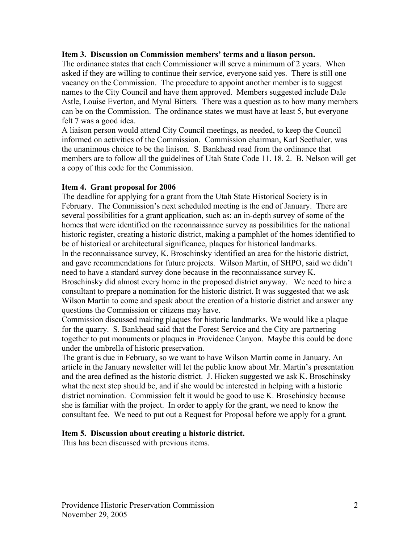#### **Item 3. Discussion on Commission members' terms and a liason person.**

The ordinance states that each Commissioner will serve a minimum of 2 years. When asked if they are willing to continue their service, everyone said yes. There is still one vacancy on the Commission. The procedure to appoint another member is to suggest names to the City Council and have them approved. Members suggested include Dale Astle, Louise Everton, and Myral Bitters. There was a question as to how many members can be on the Commission. The ordinance states we must have at least 5, but everyone felt 7 was a good idea.

A liaison person would attend City Council meetings, as needed, to keep the Council informed on activities of the Commission. Commission chairman, Karl Seethaler, was the unanimous choice to be the liaison. S. Bankhead read from the ordinance that members are to follow all the guidelines of Utah State Code 11. 18. 2. B. Nelson will get a copy of this code for the Commission.

## **Item 4. Grant proposal for 2006**

The deadline for applying for a grant from the Utah State Historical Society is in February. The Commission's next scheduled meeting is the end of January. There are several possibilities for a grant application, such as: an in-depth survey of some of the homes that were identified on the reconnaissance survey as possibilities for the national historic register, creating a historic district, making a pamphlet of the homes identified to be of historical or architectural significance, plaques for historical landmarks. In the reconnaissance survey, K. Broschinsky identified an area for the historic district, and gave recommendations for future projects. Wilson Martin, of SHPO, said we didn't need to have a standard survey done because in the reconnaissance survey K. Broschinsky did almost every home in the proposed district anyway. We need to hire a consultant to prepare a nomination for the historic district. It was suggested that we ask Wilson Martin to come and speak about the creation of a historic district and answer any questions the Commission or citizens may have.

Commission discussed making plaques for historic landmarks. We would like a plaque for the quarry. S. Bankhead said that the Forest Service and the City are partnering together to put monuments or plaques in Providence Canyon. Maybe this could be done under the umbrella of historic preservation.

The grant is due in February, so we want to have Wilson Martin come in January. An article in the January newsletter will let the public know about Mr. Martin's presentation and the area defined as the historic district. J. Hicken suggested we ask K. Broschinsky what the next step should be, and if she would be interested in helping with a historic district nomination. Commission felt it would be good to use K. Broschinsky because she is familiar with the project. In order to apply for the grant, we need to know the consultant fee. We need to put out a Request for Proposal before we apply for a grant.

#### **Item 5. Discussion about creating a historic district.**

This has been discussed with previous items.